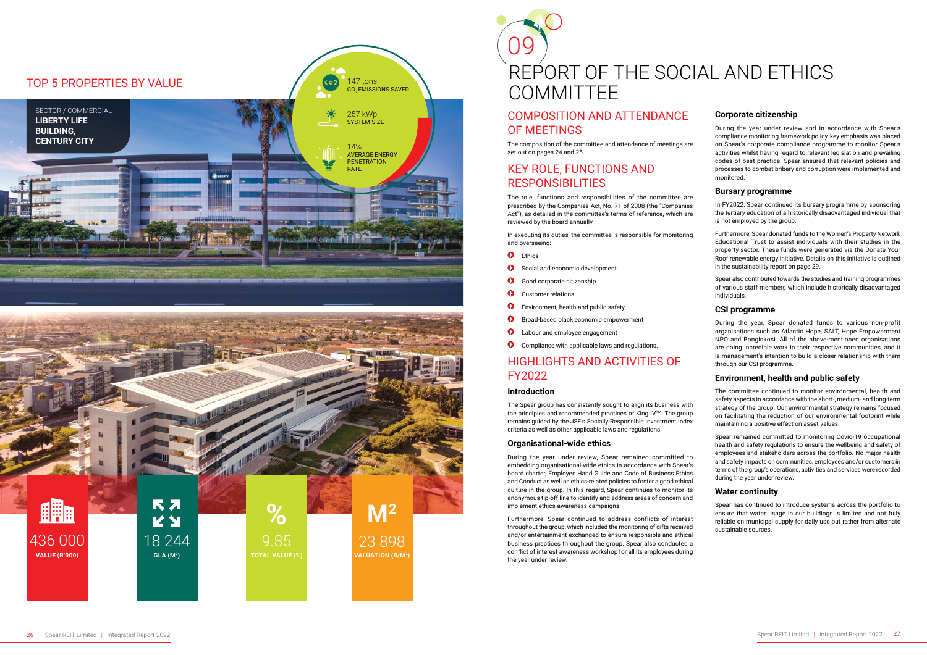# COMPOSITION AND ATTENDANCE OF MEETINGS

The composition of the committee and attendance of meetings are set out on pages 24 and 25.

# KEY ROLE, FUNCTIONS AND RESPONSIBILITIES

The role, functions and responsibilities of the committee are prescribed by the Companies Act, No. 71 of 2008 (the "Companies Act"), as detailed in the committee's terms of reference, which are reviewed by the board annually.

In executing its duties, the committee is responsible for monitoring and overseeing:

- **O** Ethics
- $\bigoplus$ Social and economic development
- $\bullet$ Good corporate citizenship
- $\Phi$ Customer relations
- $\overline{a}$ Environment, health and public safety
- $\Phi$ Broad-based black economic empowerment
- Labour and employee engagement  $\bigoplus$
- **O** Compliance with applicable laws and regulations.

# HIGHLIGHTS AND ACTIVITIES OF FY2022

#### **Introduction**

The Spear group has consistently sought to align its business with the principles and recommended practices of King IV™. The group remains guided by the JSE's Socially Responsible Investment Index criteria as well as other applicable laws and regulations.

#### **Organisational-wide ethics**

During the year under review, Spear remained committed to embedding organisational-wide ethics in accordance with Spear's board charter, Employee Hand Guide and Code of Business Ethics and Conduct as well as ethics-related policies to foster a good ethical culture in the group. In this regard, Spear continues to monitor its anonymous tip-off line to identify and address areas of concern and implement ethics-awareness campaigns.

Furthermore, Spear continued to address conflicts of interest throughout the group, which included the monitoring of gifts received and/or entertainment exchanged to ensure responsible and ethical business practices throughout the group. Spear also conducted a conflict of interest awareness workshop for all its employees during the year under review.

# 09 REPORT OF THE SOCIAL AND ETHICS COMMITTEE

## **Corporate citizenship**



During the year under review and in accordance with Spear's compliance monitoring framework policy, key emphasis was placed on Spear's corporate compliance programme to monitor Spear's activities whilst having regard to relevant legislation and prevailing codes of best practice. Spear ensured that relevant policies and processes to combat bribery and corruption were implemented and monitored.

#### **Bursary programme**

In FY2022, Spear continued its bursary programme by sponsoring the tertiary education of a historically disadvantaged individual that is not employed by the group.

Furthermore, Spear donated funds to the Women's Property Network Educational Trust to assist individuals with their studies in the property sector. These funds were generated via the Donate Your Roof renewable energy initiative. Details on this initiative is outlined in the sustainability report on page 29.

Spear also contributed towards the studies and training programmes of various staff members which include historically disadvantaged individuals.

#### **CSI programme**

During the year, Spear donated funds to various non-profit organisations such as Atlantic Hope, SALT, Hope Empowerment NPO and Bonginkosi. All of the above-mentioned organisations are doing incredible work in their respective communities, and it is management's intention to build a closer relationship with them through our CSI programme.

## **Environment, health and public safety**

The committee continued to monitor environmental, health and safety aspects in accordance with the short-, medium- and long-term strategy of the group. Our environmental strategy remains focused on facilitating the reduction of our environmental footprint while maintaining a positive effect on asset values.

Spear remained committed to monitoring Covid-19 occupational health and safety regulations to ensure the wellbeing and safety of employees and stakeholders across the portfolio. No major health and safety impacts on communities, employees and/or customers in terms of the group's operations, activities and services were recorded during the year under review.

## **Water continuity**

Spear has continued to introduce systems across the portfolio to ensure that water usage in our buildings is limited and not fully reliable on municipal supply for daily use but rather from alternate sustainable sources.